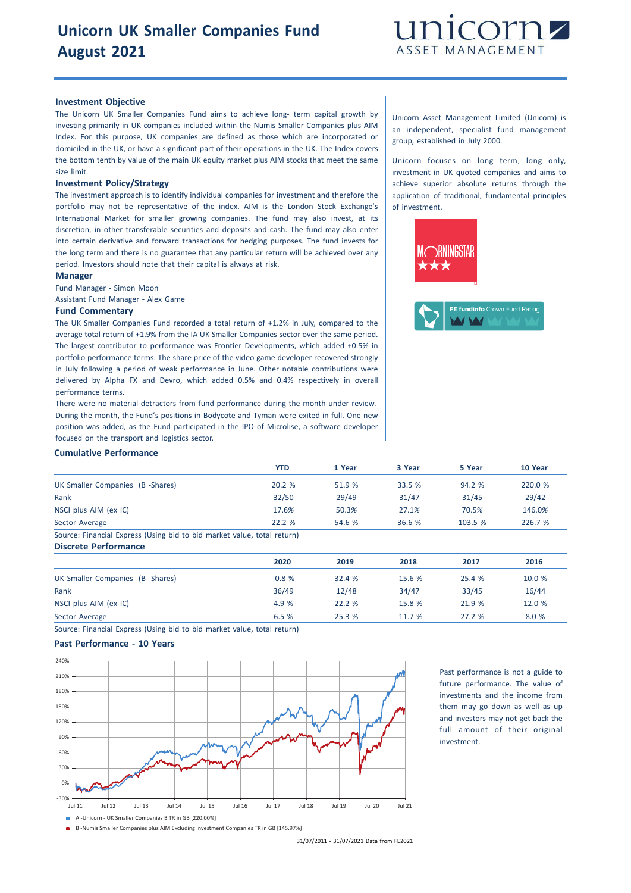# **Unicorn UK Smaller Companies Fund August 2021**



# **Investment Objective**

The Unicorn UK Smaller Companies Fund aims to achieve long- term capital growth by investing primarily in UK companies included within the Numis Smaller Companies plus AIM Index. For this purpose, UK companies are defined as those which are incorporated or domiciled in the UK, or have a significant part of their operations in the UK. The Index covers the bottom tenth by value of the main UK equity market plus AIM stocks that meet the same size limit.

### **Investment Policy/Strategy**

The investment approach is to identify individual companies for investment and therefore the portfolio may not be representative of the index. AIM is the London Stock Exchange's International Market for smaller growing companies. The fund may also invest, at its discretion, in other transferable securities and deposits and cash. The fund may also enter into certain derivative and forward transactions for hedging purposes. The fund invests for the long term and there is no guarantee that any particular return will be achieved over any period. Investors should note that their capital is always at risk.

### **Manager**

Fund Manager - Simon Moon

Assistant Fund Manager - Alex Game

#### **Fund Commentary**

The UK Smaller Companies Fund recorded a total return of +1.2% in July, compared to the average total return of +1.9% from the IA UK Smaller Companies sector over the same period. The largest contributor to performance was Frontier Developments, which added +0.5% in portfolio performance terms. The share price of the video game developer recovered strongly in July following a period of weak performance in June. Other notable contributions were delivered by Alpha FX and Devro, which added 0.5% and 0.4% respectively in overall performance terms.

There were no material detractors from fund performance during the month under review. During the month, the Fund's positions in Bodycote and Tyman were exited in full. One new position was added, as the Fund participated in the IPO of Microlise, a software developer focused on the transport and logistics sector.

Unicorn Asset Management Limited (Unicorn) is an independent, specialist fund management group, established in July 2000.

Unicorn focuses on long term, long only, investment in UK quoted companies and aims to achieve superior absolute returns through the application of traditional, fundamental principles of investment.





## **Cumulative Performance**

|                                                                       | YTD   | 1 Year | 3 Year | 5 Year | 10 Year |
|-----------------------------------------------------------------------|-------|--------|--------|--------|---------|
| UK Smaller Companies (B -Shares)                                      | 20.2% | 51.9 % | 33.5 % | 94.2%  | 220.0 % |
| Rank                                                                  | 32/50 | 29/49  | 31/47  | 31/45  | 29/42   |
| NSCI plus AIM (ex IC)                                                 | 17.6% | 50.3%  | 27.1%  | 70.5%  | 146.0%  |
| Sector Average                                                        | 22.2% | 54.6 % | 36.6%  | 103.5% | 226.7 % |
| Course Financial Evasses (Heine bid to bid mortal value total setura) |       |        |        |        |         |

Source: Financial Express (Using bid to bid market value, total return) **Discrete Performance**

|                                  | 2020    | 2019   | 2018     | 2017   | 2016   |
|----------------------------------|---------|--------|----------|--------|--------|
| UK Smaller Companies (B -Shares) | $-0.8%$ | 32.4 % | $-15.6%$ | 25.4 % | 10.0 % |
| Rank                             | 36/49   | 12/48  | 34/47    | 33/45  | 16/44  |
| NSCI plus AIM (ex IC)            | 4.9 %   | 22.2%  | $-15.8%$ | 21.9 % | 12.0 % |
| Sector Average                   | 6.5%    | 25.3 % | $-11.7%$ | 27.2%  | 8.0 %  |

Source: Financial Express (Using bid to bid market value, total return)

## **Past Performance - 10 Years**



Past performance is not a guide to future performance. The value of investments and the income from them may go down as well as up and investors may not get back the full amount of their original investment.

B -Numis Smaller Companies plus AIM Excluding Investment Companies TR in GB [145.97%]

31/07/2011 - 31/07/2021 Data from FE2021